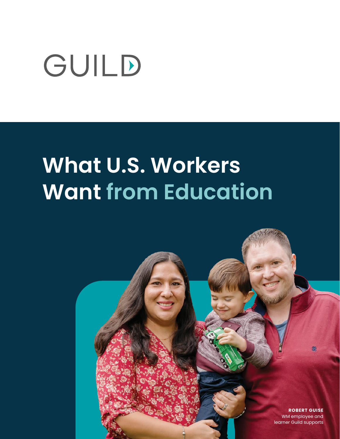# GUILD

# **What U.S. Workers Want from Education**

**ROBERT GUISE** WM employee and learner Guild supports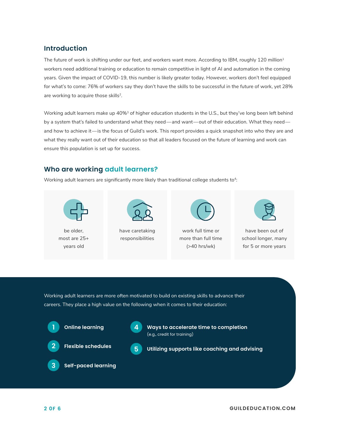#### **Introduction**

The future of work is shifting under our feet, and workers want more. According to IBM, roughly 120 million<sup>1</sup> workers need additional training or education to remain competitive in light of AI and automation in the coming years. Given the impact of COVID-19, this number is likely greater today. However, workers don't feel equipped for what's to come: 76% of workers say they don't have the skills to be successful in the future of work, yet 28% are working to acquire those skills<sup>2</sup>.

Working adult learners make up 40%<sup>3</sup> of higher education students in the U.S., but they've long been left behind by a system that's failed to understand what they need—and want—out of their education. What they need and how to achieve it—is the focus of Guild's work. This report provides a quick snapshot into who they are and what they really want out of their education so that all leaders focused on the future of learning and work can ensure this population is set up for success.

### **Who are working adult learners?**

Working adult learners are significantly more likely than traditional college students to<sup>4</sup>:



be older, most are 25+ years old



have caretaking responsibilities



work full time or more than full time (>40 hrs/wk)



have been out of school longer, many for 5 or more years

Working adult learners are more often motivated to build on existing skills to advance their careers. They place a high value on the following when it comes to their education:







**A** Ways to accelerate time to completion (e.g., credit for training)



**3**

**Flexible schedules** 



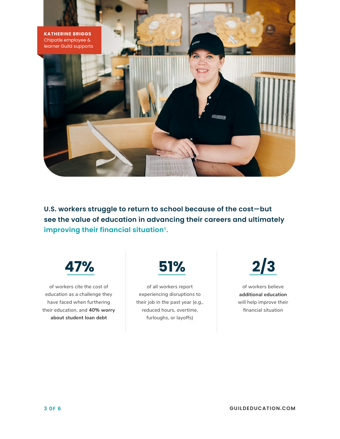

**U.S. workers struggle to return to school because of the cost—but see the value of education in advancing their careers and ultimately improving their financial situation**<sup>5</sup>**.**



of workers cite the cost of education as a challenge they have faced when furthering their education, and **40% worry about student loan debt**



of all workers report experiencing disruptions to their job in the past year (e.g., reduced hours, overtime, furloughs, or layoffs)

of workers believe **additional education**  will help improve their financial situation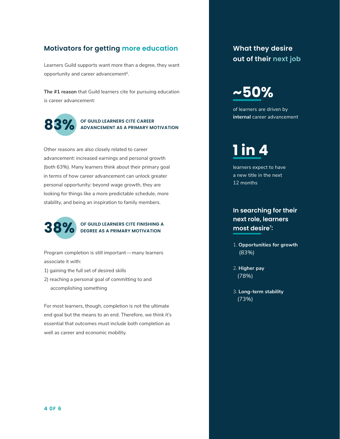### **Motivators for getting more education What they desire**

Learners Guild supports want more than a degree, they want opportunity and career advancement<sup>6</sup>.

**The #1 reason** that Guild learners cite for pursuing education is career advancement:



### **OF GUILD LEARNERS CITE CAREER ADVANCEMENT AS A PRIMARY MOTIVATION**

Other reasons are also closely related to career advancement: increased earnings and personal growth (both 63%). Many learners think about their primary goal in terms of how career advancement can unlock greater personal opportunity: beyond wage growth, they are looking for things like a more predictable schedule, more stability, and being an inspiration to family members.



### **OF GUILD LEARNERS CITE FINISHING A 38% DEGREE AS A PRIMARY MOTIVATION**

Program completion is still important—many learners associate it with:

- 1) gaining the full set of desired skills
- 2) reaching a personal goal of committing to and accomplishing something

For most learners, though, completion is not the ultimate end goal but the means to an end. Therefore, we think it's essential that outcomes must include both completion as well as career and economic mobility.

### **out of their next job**

### **~50%**

of learners are driven by **internal** career advancement

### **1 in 4**

learners expect to have a new title in the next 12 months

### **In searching for their next role, learners most desire7 :**

- 1. **Opportunities for growth**  (83%)
- 2. **Higher pay**  (78%)
- 3. **Long-term stability**  (73%)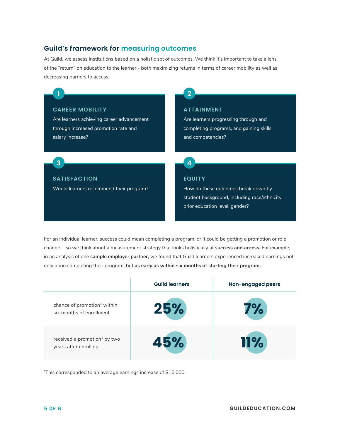#### **Guild's framework for measuring outcomes**

At Guild, we assess institutions based on a holistic set of outcomes. We think it's important to take a lens of the "return" on education to the learner - both maximizing returns in terms of career mobility as well as decreasing barriers to access.

#### **CAREER MOBILITY**

**1**

**3**

Are learners achieving career advancement through increased promotion rate and salary increase?

### **ATTAINMENT**

**2**

Are learners progressing through and completing programs, and gaining skills and competencies?

#### **SATISFACTION**

Would learners recommend their program?

#### **EQUITY**

**4**

How do these outcomes break down by student background, including race/ethnicity, prior education level, gender?

For an individual learner, success could mean completing a program, or it could be getting a promotion or role change—so we think about a measurement strategy that looks holistically at **success and access.** For example, in an analysis of one **sample employer partner,** we found that Guild learners experienced increased earnings not only upon completing their program, but **as early as within six months of starting their program.**

|                                                         | <b>Guild learners</b> | Non-engaged peers |
|---------------------------------------------------------|-----------------------|-------------------|
| chance of promotion* within<br>six months of enrollment | 25%                   | Υ.                |
| received a promotion* by two<br>years after enrolling   | 45%                   | <b>11%</b>        |

\*This corresponded to an average earnings increase of \$16,000.